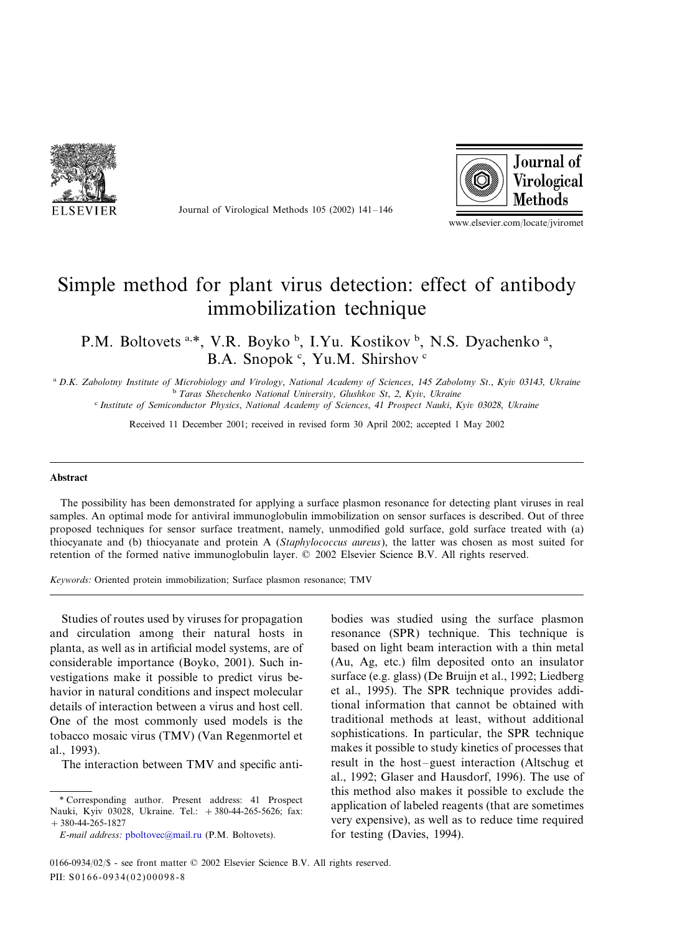

Journal of Virological Methods 105 (2002) 141–146



www.elsevier.com/locate/jviromet

## Simple method for plant virus detection: effect of antibody immobilization technique

P.M. Boltovets a.\*, V.R. Boyko b, I.Yu. Kostikov b, N.S. Dyachenko a, B.A. Snopok <sup>c</sup>, Yu.M. Shirshov c

<sup>a</sup> *D*.*K*. *Zabolotny Institute of Microbiology and Virology*, *National Academy of Sciences*, <sup>145</sup> *Zabolotny St*., *Kyi* <sup>03143</sup>, *Ukraine* <sup>b</sup> *Taras Shechenko National Uniersity*, *Glushko St*, <sup>2</sup>, *Kyi*, *Ukraine*

<sup>c</sup> *Institute of Semiconductor Physics*, *National Academy of Sciences*, <sup>41</sup> *Prospect Nauki*, *Kyi* <sup>03028</sup>, *Ukraine*

Received 11 December 2001; received in revised form 30 April 2002; accepted 1 May 2002

## **Abstract**

The possibility has been demonstrated for applying a surface plasmon resonance for detecting plant viruses in real samples. An optimal mode for antiviral immunoglobulin immobilization on sensor surfaces is described. Out of three proposed techniques for sensor surface treatment, namely, unmodified gold surface, gold surface treated with (a) thiocyanate and (b) thiocyanate and protein A (*Staphylococcus aureus*), the latter was chosen as most suited for retention of the formed native immunoglobulin layer. © 2002 Elsevier Science B.V. All rights reserved.

*Keywords*: Oriented protein immobilization; Surface plasmon resonance; TMV

Studies of routes used by viruses for propagation and circulation among their natural hosts in planta, as well as in artificial model systems, are of considerable importance (Boyko, 2001). Such investigations make it possible to predict virus behavior in natural conditions and inspect molecular details of interaction between a virus and host cell. One of the most commonly used models is the tobacco mosaic virus (TMV) (Van Regenmortel et al., 1993).

The interaction between TMV and specific anti-

bodies was studied using the surface plasmon resonance (SPR) technique. This technique is based on light beam interaction with a thin metal (Au, Ag, etc.) film deposited onto an insulator surface (e.g. glass) (De Bruijn et al., 1992; Liedberg et al., 1995). The SPR technique provides additional information that cannot be obtained with traditional methods at least, without additional sophistications. In particular, the SPR technique makes it possible to study kinetics of processes that result in the host–guest interaction (Altschug et al., 1992; Glaser and Hausdorf, 1996). The use of this method also makes it possible to exclude the application of labeled reagents (that are sometimes very expensive), as well as to reduce time required for testing (Davies, 1994).

<sup>\*</sup> Corresponding author. Present address: 41 Prospect Nauki, Kyiv 03028, Ukraine. Tel.: +380-44-265-5626; fax:  $+380-44-265-1827$ 

*E*-*mail address*: [pboltovec@mail.ru](mailto:pboltovec@mail.ru) (P.M. Boltovets).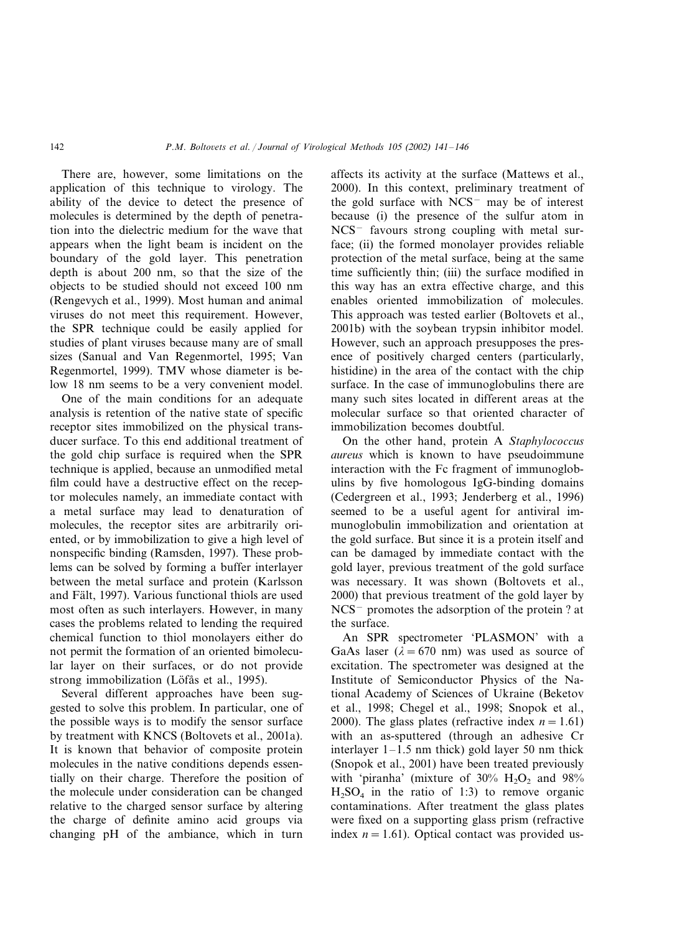There are, however, some limitations on the application of this technique to virology. The ability of the device to detect the presence of molecules is determined by the depth of penetration into the dielectric medium for the wave that appears when the light beam is incident on the boundary of the gold layer. This penetration depth is about 200 nm, so that the size of the objects to be studied should not exceed 100 nm (Rengevych et al., 1999). Most human and animal viruses do not meet this requirement. However, the SPR technique could be easily applied for studies of plant viruses because many are of small sizes (Sanual and Van Regenmortel, 1995; Van Regenmortel, 1999). TMV whose diameter is below 18 nm seems to be a very convenient model.

One of the main conditions for an adequate analysis is retention of the native state of specific receptor sites immobilized on the physical transducer surface. To this end additional treatment of the gold chip surface is required when the SPR technique is applied, because an unmodified metal film could have a destructive effect on the receptor molecules namely, an immediate contact with a metal surface may lead to denaturation of molecules, the receptor sites are arbitrarily oriented, or by immobilization to give a high level of nonspecific binding (Ramsden, 1997). These problems can be solved by forming a buffer interlayer between the metal surface and protein (Karlsson and Fält, 1997). Various functional thiols are used most often as such interlayers. However, in many cases the problems related to lending the required chemical function to thiol monolayers either do not permit the formation of an oriented bimolecular layer on their surfaces, or do not provide strong immobilization (Löfås et al., 1995).

Several different approaches have been suggested to solve this problem. In particular, one of the possible ways is to modify the sensor surface by treatment with KNCS (Boltovets et al., 2001a). It is known that behavior of composite protein molecules in the native conditions depends essentially on their charge. Therefore the position of the molecule under consideration can be changed relative to the charged sensor surface by altering the charge of definite amino acid groups via changing pH of the ambiance, which in turn

affects its activity at the surface (Mattews et al., 2000). In this context, preliminary treatment of the gold surface with NCS<sup>−</sup> may be of interest because (i) the presence of the sulfur atom in NCS<sup>−</sup> favours strong coupling with metal surface; (ii) the formed monolayer provides reliable protection of the metal surface, being at the same time sufficiently thin; (iii) the surface modified in this way has an extra effective charge, and this enables oriented immobilization of molecules. This approach was tested earlier (Boltovets et al., 2001b) with the soybean trypsin inhibitor model. However, such an approach presupposes the presence of positively charged centers (particularly, histidine) in the area of the contact with the chip surface. In the case of immunoglobulins there are many such sites located in different areas at the molecular surface so that oriented character of immobilization becomes doubtful.

On the other hand, protein A *Staphylococcus aureus* which is known to have pseudoimmune interaction with the Fc fragment of immunoglobulins by five homologous IgG-binding domains (Cedergreen et al., 1993; Jenderberg et al., 1996) seemed to be a useful agent for antiviral immunoglobulin immobilization and orientation at the gold surface. But since it is a protein itself and can be damaged by immediate contact with the gold layer, previous treatment of the gold surface was necessary. It was shown (Boltovets et al., 2000) that previous treatment of the gold layer by NCS<sup>−</sup> promotes the adsorption of the protein ? at the surface.

An SPR spectrometer 'PLASMON' with a GaAs laser ( $\lambda = 670$  nm) was used as source of excitation. The spectrometer was designed at the Institute of Semiconductor Physics of the National Academy of Sciences of Ukraine (Beketov et al., 1998; Chegel et al., 1998; Snopok et al., 2000). The glass plates (refractive index  $n = 1.61$ ) with an as-sputtered (through an adhesive Cr interlayer 1–1.5 nm thick) gold layer 50 nm thick (Snopok et al., 2001) have been treated previously with 'piranha' (mixture of  $30\%$  H<sub>2</sub>O<sub>2</sub> and  $98\%$  $H_2SO_4$  in the ratio of 1:3) to remove organic contaminations. After treatment the glass plates were fixed on a supporting glass prism (refractive index  $n = 1.61$ ). Optical contact was provided us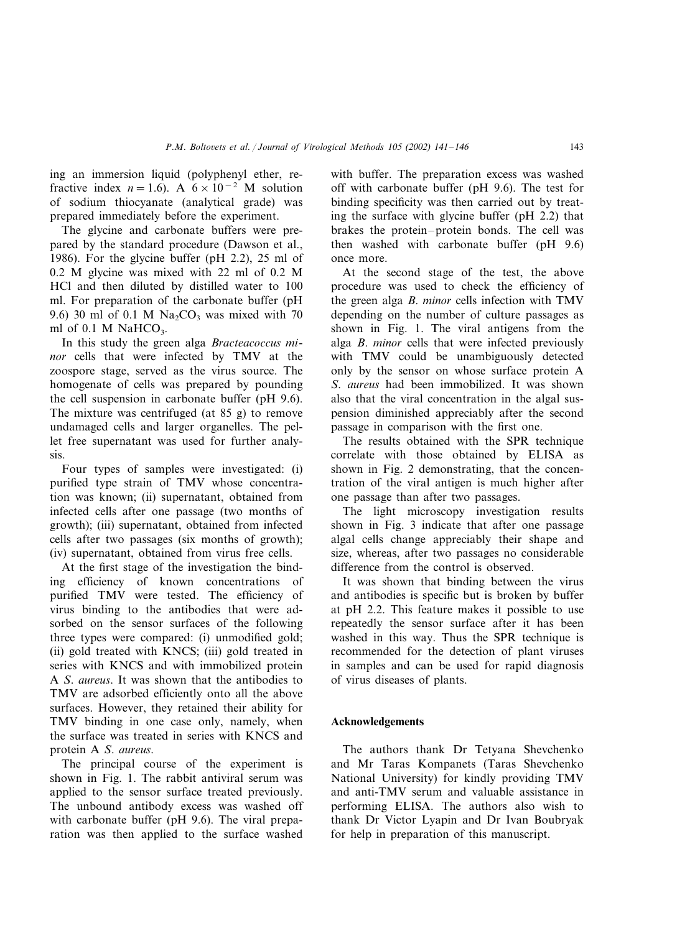ing an immersion liquid (polyphenyl ether, refractive index  $n = 1.6$ ). A  $6 \times 10^{-2}$  M solution of sodium thiocyanate (analytical grade) was prepared immediately before the experiment.

The glycine and carbonate buffers were prepared by the standard procedure (Dawson et al., 1986). For the glycine buffer (pH 2.2), 25 ml of 0.2 M glycine was mixed with 22 ml of 0.2 M HCl and then diluted by distilled water to 100 ml. For preparation of the carbonate buffer (pH 9.6) 30 ml of 0.1 M  $\text{Na}_2\text{CO}_3$  was mixed with 70 ml of 0.1 M NaHCO<sub>3</sub>.

In this study the green alga *Bracteacoccus minor* cells that were infected by TMV at the zoospore stage, served as the virus source. The homogenate of cells was prepared by pounding the cell suspension in carbonate buffer (pH 9.6). The mixture was centrifuged (at 85 g) to remove undamaged cells and larger organelles. The pellet free supernatant was used for further analysis.

Four types of samples were investigated: (i) purified type strain of TMV whose concentration was known; (ii) supernatant, obtained from infected cells after one passage (two months of growth); (iii) supernatant, obtained from infected cells after two passages (six months of growth); (iv) supernatant, obtained from virus free cells.

At the first stage of the investigation the binding efficiency of known concentrations of purified TMV were tested. The efficiency of virus binding to the antibodies that were adsorbed on the sensor surfaces of the following three types were compared: (i) unmodified gold; (ii) gold treated with KNCS; (iii) gold treated in series with KNCS and with immobilized protein A *S*. *aureus*. It was shown that the antibodies to TMV are adsorbed efficiently onto all the above surfaces. However, they retained their ability for TMV binding in one case only, namely, when the surface was treated in series with KNCS and protein A *S*. *aureus*.

The principal course of the experiment is shown in Fig. 1. The rabbit antiviral serum was applied to the sensor surface treated previously. The unbound antibody excess was washed off with carbonate buffer (pH 9.6). The viral preparation was then applied to the surface washed

with buffer. The preparation excess was washed off with carbonate buffer (pH 9.6). The test for binding specificity was then carried out by treating the surface with glycine buffer (pH 2.2) that brakes the protein–protein bonds. The cell was then washed with carbonate buffer (pH 9.6) once more.

At the second stage of the test, the above procedure was used to check the efficiency of the green alga *B*. *minor* cells infection with TMV depending on the number of culture passages as shown in Fig. 1. The viral antigens from the alga *B*. *minor* cells that were infected previously with TMV could be unambiguously detected only by the sensor on whose surface protein A *S*. *aureus* had been immobilized. It was shown also that the viral concentration in the algal suspension diminished appreciably after the second passage in comparison with the first one.

The results obtained with the SPR technique correlate with those obtained by ELISA as shown in Fig. 2 demonstrating, that the concentration of the viral antigen is much higher after one passage than after two passages.

The light microscopy investigation results shown in Fig. 3 indicate that after one passage algal cells change appreciably their shape and size, whereas, after two passages no considerable difference from the control is observed.

It was shown that binding between the virus and antibodies is specific but is broken by buffer at pH 2.2. This feature makes it possible to use repeatedly the sensor surface after it has been washed in this way. Thus the SPR technique is recommended for the detection of plant viruses in samples and can be used for rapid diagnosis of virus diseases of plants.

## **Acknowledgements**

The authors thank Dr Tetyana Shevchenko and Mr Taras Kompanets (Taras Shevchenko National University) for kindly providing TMV and anti-TMV serum and valuable assistance in performing ELISA. The authors also wish to thank Dr Victor Lyapin and Dr Ivan Boubryak for help in preparation of this manuscript.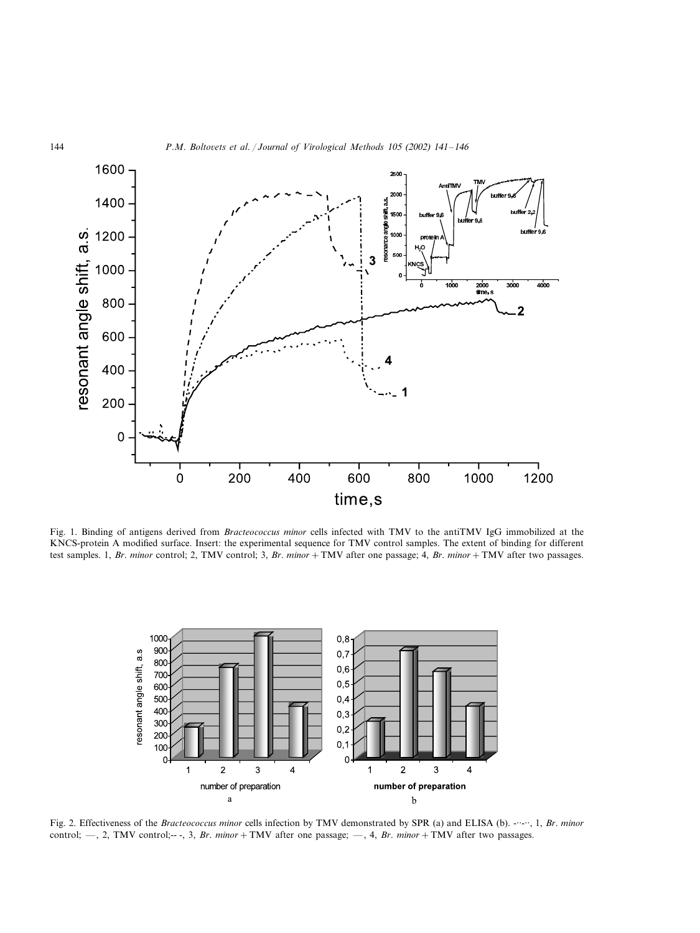

Fig. 1. Binding of antigens derived from *Bracteococcus minor* cells infected with TMV to the antiTMV IgG immobilized at the KNCS-protein A modified surface. Insert: the experimental sequence for TMV control samples. The extent of binding for different test samples. 1, *Br*. *minor* control; 2, TMV control; 3, *Br*. *minor*+TMV after one passage; 4, *Br*. *minor*+TMV after two passages.



Fig. 2. Effectiveness of the *Bracteococcus minor* cells infection by TMV demonstrated by SPR (a) and ELISA (b). -··-··, 1, *Br*. *minor* control; —, 2, TMV control;-- -, 3, *Br*. *minor*+TMV after one passage; —, 4, *Br*. *minor*+TMV after two passages.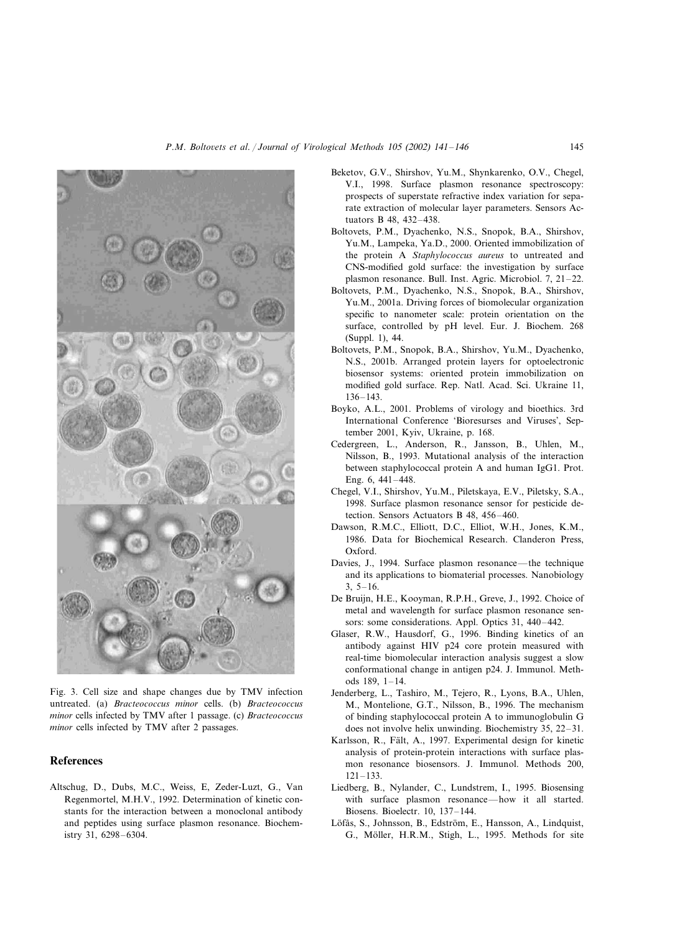

Fig. 3. Cell size and shape changes due by TMV infection untreated. (a) *Bracteococcus minor* cells. (b) *Bracteococcus minor* cells infected by TMV after 1 passage. (c) *Bracteococcus minor* cells infected by TMV after 2 passages.

## **References**

Altschug, D., Dubs, M.C., Weiss, E, Zeder-Luzt, G., Van Regenmortel, M.H.V., 1992. Determination of kinetic constants for the interaction between a monoclonal antibody and peptides using surface plasmon resonance. Biochemistry 31, 6298–6304.

- Beketov, G.V., Shirshov, Yu.M., Shynkarenko, O.V., Chegel, V.I., 1998. Surface plasmon resonance spectroscopy: prospects of superstate refractive index variation for separate extraction of molecular layer parameters. Sensors Actuators B 48, 432–438.
- Boltovets, P.M., Dyachenko, N.S., Snopok, B.A., Shirshov, Yu.M., Lampeka, Ya.D., 2000. Oriented immobilization of the protein A *Staphylococcus aureus* to untreated and CNS-modified gold surface: the investigation by surface plasmon resonance. Bull. Inst. Agric. Microbiol. 7, 21–22.
- Boltovets, P.M., Dyachenko, N.S., Snopok, B.A., Shirshov, Yu.M., 2001a. Driving forces of biomolecular organization specific to nanometer scale: protein orientation on the surface, controlled by pH level. Eur. J. Biochem. 268 (Suppl. 1), 44.
- Boltovets, P.M., Snopok, B.A., Shirshov, Yu.M., Dyachenko, N.S., 2001b. Arranged protein layers for optoelectronic biosensor systems: oriented protein immobilization on modified gold surface. Rep. Natl. Acad. Sci. Ukraine 11, 136–143.
- Boyko, A.L., 2001. Problems of virology and bioethics. 3rd International Conference 'Bioresurses and Viruses', September 2001, Kyiv, Ukraine, p. 168.
- Cedergreen, L., Anderson, R., Jansson, B., Uhlen, M., Nilsson, B., 1993. Mutational analysis of the interaction between staphylococcal protein A and human IgG1. Prot. Eng. 6, 441–448.
- Chegel, V.I., Shirshov, Yu.M., Piletskaya, E.V., Piletsky, S.A., 1998. Surface plasmon resonance sensor for pesticide detection. Sensors Actuators B 48, 456–460.
- Dawson, R.M.C., Elliott, D.C., Elliot, W.H., Jones, K.M., 1986. Data for Biochemical Research. Clanderon Press, Oxford.
- Davies, J., 1994. Surface plasmon resonance—the technique and its applications to biomaterial processes. Nanobiology  $3, 5-16.$
- De Bruijn, H.E., Kooyman, R.P.H., Greve, J., 1992. Choice of metal and wavelength for surface plasmon resonance sensors: some considerations. Appl. Optics 31, 440–442.
- Glaser, R.W., Hausdorf, G., 1996. Binding kinetics of an antibody against HIV p24 core protein measured with real-time biomolecular interaction analysis suggest a slow conformational change in antigen p24. J. Immunol. Methods 189, 1–14.
- Jenderberg, L., Tashiro, M., Tejero, R., Lyons, B.A., Uhlen, M., Montelione, G.T., Nilsson, B., 1996. The mechanism of binding staphylococcal protein A to immunoglobulin G does not involve helix unwinding. Biochemistry 35, 22–31.
- Karlsson, R., Fält, A., 1997. Experimental design for kinetic analysis of protein-protein interactions with surface plasmon resonance biosensors. J. Immunol. Methods 200, 121–133.
- Liedberg, B., Nylander, C., Lundstrem, I., 1995. Biosensing with surface plasmon resonance—how it all started. Biosens. Bioelectr. 10, 137–144.
- Löfås, S., Johnsson, B., Edström, E., Hansson, A., Lindquist, G., Möller, H.R.M., Stigh, L., 1995. Methods for site